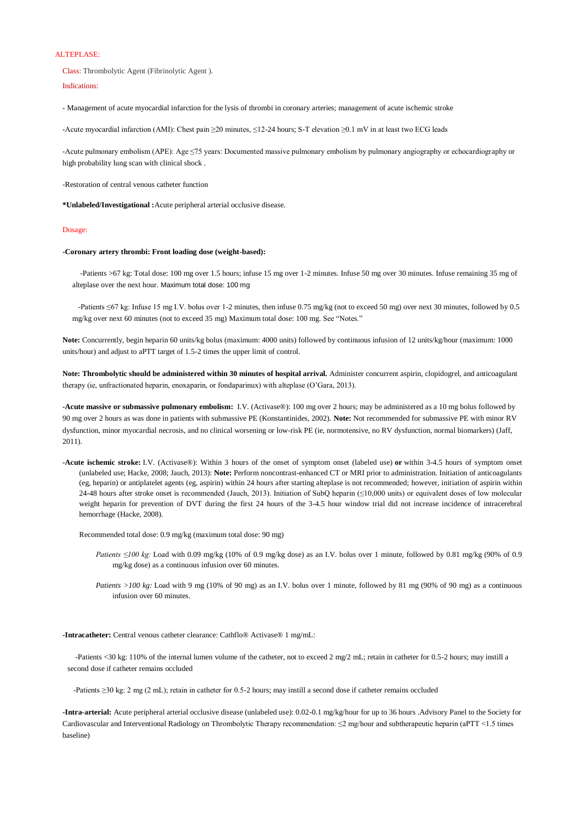## ALTEPLASE:

Class: Thrombolytic Agent (Fibrinolytic Agent ).

Indications:

- Management of acute myocardial infarction for the lysis of thrombi in coronary arteries; management of acute ischemic stroke

-Acute myocardial infarction (AMI): Chest pain ≥20 minutes, ≤12-24 hours; S-T elevation ≥0.1 mV in at least two ECG leads

-Acute pulmonary embolism (APE): Age ≤75 years: Documented massive pulmonary embolism by pulmonary angiography or echocardiography or high probability lung scan with clinical shock .

-Restoration of central venous catheter function

**\*Unlabeled/Investigational :**Acute peripheral arterial occlusive disease.

## Dosage:

## **-Coronary artery thrombi: Front loading dose (weight-based):**

 -Patients >67 kg: Total dose: 100 mg over 1.5 hours; infuse 15 mg over 1-2 minutes. Infuse 50 mg over 30 minutes. Infuse remaining 35 mg of alteplase over the next hour. Maximum total dose: 100 mg

 -Patients ≤67 kg: Infuse 15 mg I.V. bolus over 1-2 minutes, then infuse 0.75 mg/kg (not to exceed 50 mg) over next 30 minutes, followed by 0.5 mg/kg over next 60 minutes (not to exceed 35 mg) Maximum total dose: 100 mg. See "Notes."

**Note:** Concurrently, begin heparin 60 units/kg bolus (maximum: 4000 units) followed by continuous infusion of 12 units/kg/hour (maximum: 1000 units/hour) and adjust to aPTT target of 1.5-2 times the upper limit of control.

**Note: Thrombolytic should be administered within 30 minutes of hospital arrival.** Administer concurrent aspirin, clopidogrel, and anticoagulant therapy (ie, unfractionated heparin, enoxaparin, or fondaparinux) with alteplase (O'Gara, 2013).

- *Patients ≤100 kg:* Load with 0.09 mg/kg (10% of 0.9 mg/kg dose) as an I.V. bolus over 1 minute, followed by 0.81 mg/kg (90% of 0.9 mg/kg dose) as a continuous infusion over 60 minutes.
- *Patients >100 kg:* Load with 9 mg (10% of 90 mg) as an I.V. bolus over 1 minute, followed by 81 mg (90% of 90 mg) as a continuous infusion over 60 minutes.

**-Acute massive or submassive pulmonary embolism:** I.V. (Activase®): 100 mg over 2 hours; may be administered as a 10 mg bolus followed by 90 mg over 2 hours as was done in patients with submassive PE (Konstantinides, 2002). **Note:** Not recommended for submassive PE with minor RV dysfunction, minor myocardial necrosis, and no clinical worsening or low-risk PE (ie, normotensive, no RV dysfunction, normal biomarkers) (Jaff, 2011).

**-Acute ischemic stroke:** I.V. (Activase®): Within 3 hours of the onset of symptom onset (labeled use) **or** within 3-4.5 hours of symptom onset (unlabeled use; Hacke, 2008; Jauch, 2013): **Note:** Perform noncontrast-enhanced CT or MRI prior to administration. Initiation of anticoagulants (eg, heparin) or antiplatelet agents (eg, aspirin) within 24 hours after starting alteplase is not recommended; however, initiation of aspirin within 24-48 hours after stroke onset is recommended (Jauch, 2013). Initiation of SubQ heparin (≤10,000 units) or equivalent doses of low molecular weight heparin for prevention of DVT during the first 24 hours of the 3-4.5 hour window trial did not increase incidence of intracerebral hemorrhage (Hacke, 2008).

Recommended total dose: 0.9 mg/kg (maximum total dose: 90 mg)

**-Intracatheter:** Central venous catheter clearance: Cathflo® Activase® 1 mg/mL:

 -Patients <30 kg: 110% of the internal lumen volume of the catheter, not to exceed 2 mg/2 mL; retain in catheter for 0.5-2 hours; may instill a second dose if catheter remains occluded

-Patients ≥30 kg: 2 mg (2 mL); retain in catheter for 0.5-2 hours; may instill a second dose if catheter remains occluded

**-Intra-arterial:** Acute peripheral arterial occlusive disease (unlabeled use): 0.02-0.1 mg/kg/hour for up to 36 hours .Advisory Panel to the Society for Cardiovascular and Interventional Radiology on Thrombolytic Therapy recommendation: ≤2 mg/hour and subtherapeutic heparin (aPTT <1.5 times baseline)